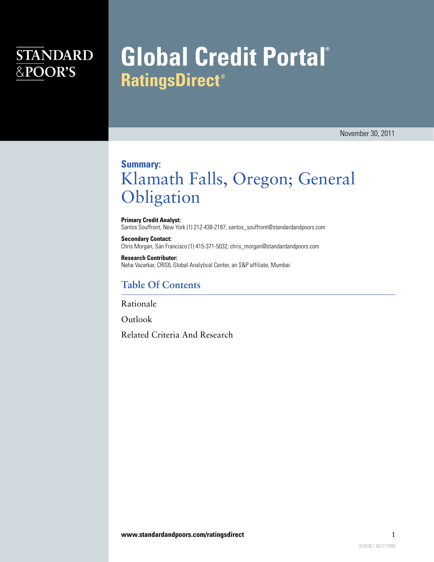## **STANDARD** &POOR'S

# **Global Credit Portal® RatingsDirect®**

November 30, 2011

### **Summary:** Klamath Falls, Oregon; General Obligation

**Primary Credit Analyst:** Santos Souffront, New York (1) 212-438-2197; santos\_souffront@standardandpoors.com

**Secondary Contact:** Chris Morgan, San Francisco (1) 415-371-5032; chris\_morgan@standardandpoors.com

**Research Contributor:** Neha Vazarkar, CRISIL Global Analytical Center, an S&P affiliate, Mumbai

### **Table Of Contents**

[Rationale](#page-1-0)

[Outlook](#page-2-0)

[Related Criteria And Research](#page-2-1)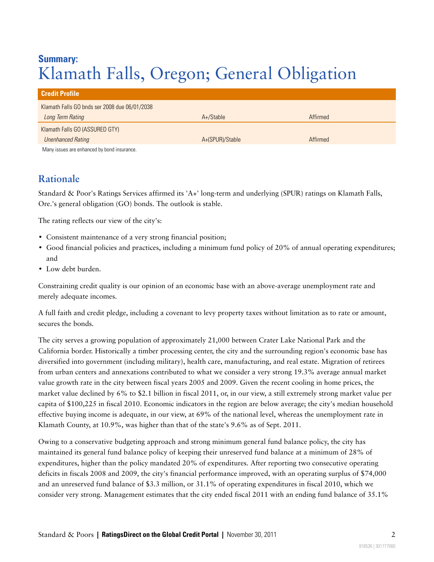### **Summary:** Klamath Falls, Oregon; General Obligation

| <b>Credit Profile</b>                         |                 |          |
|-----------------------------------------------|-----------------|----------|
| Klamath Falls GO bnds ser 2008 due 06/01/2038 |                 |          |
| Long Term Rating                              | A+/Stable       | Affirmed |
| Klamath Falls GO (ASSURED GTY)                |                 |          |
| <b>Unenhanced Rating</b>                      | A+(SPUR)/Stable | Affirmed |
| Many issues are enhanced by bond insurance.   |                 |          |

#### <span id="page-1-0"></span>**Rationale**

Standard & Poor's Ratings Services affirmed its 'A+' long-term and underlying (SPUR) ratings on Klamath Falls, Ore.'s general obligation (GO) bonds. The outlook is stable.

The rating reflects our view of the city's:

- Consistent maintenance of a very strong financial position;
- Good financial policies and practices, including a minimum fund policy of 20% of annual operating expenditures; and
- Low debt burden.

Constraining credit quality is our opinion of an economic base with an above-average unemployment rate and merely adequate incomes.

A full faith and credit pledge, including a covenant to levy property taxes without limitation as to rate or amount, secures the bonds.

The city serves a growing population of approximately 21,000 between Crater Lake National Park and the California border. Historically a timber processing center, the city and the surrounding region's economic base has diversified into government (including military), health care, manufacturing, and real estate. Migration of retirees from urban centers and annexations contributed to what we consider a very strong 19.3% average annual market value growth rate in the city between fiscal years 2005 and 2009. Given the recent cooling in home prices, the market value declined by 6% to \$2.1 billion in fiscal 2011, or, in our view, a still extremely strong market value per capita of \$100,225 in fiscal 2010. Economic indicators in the region are below average; the city's median household effective buying income is adequate, in our view, at 69% of the national level, whereas the unemployment rate in Klamath County, at 10.9%, was higher than that of the state's 9.6% as of Sept. 2011.

Owing to a conservative budgeting approach and strong minimum general fund balance policy, the city has maintained its general fund balance policy of keeping their unreserved fund balance at a minimum of 28% of expenditures, higher than the policy mandated 20% of expenditures. After reporting two consecutive operating deficits in fiscals 2008 and 2009, the city's financial performance improved, with an operating surplus of \$74,000 and an unreserved fund balance of \$3.3 million, or 31.1% of operating expenditures in fiscal 2010, which we consider very strong. Management estimates that the city ended fiscal 2011 with an ending fund balance of 35.1%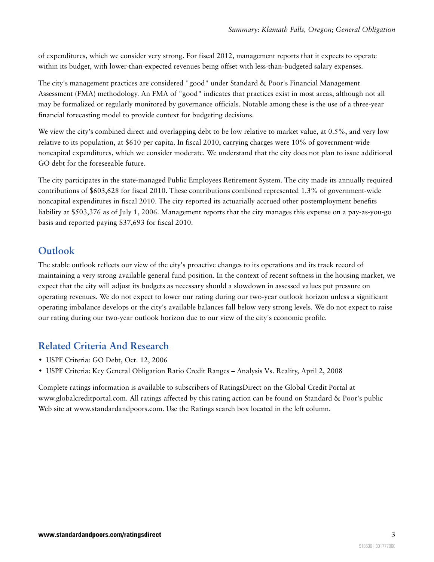of expenditures, which we consider very strong. For fiscal 2012, management reports that it expects to operate within its budget, with lower-than-expected revenues being offset with less-than-budgeted salary expenses.

The city's management practices are considered "good" under Standard & Poor's Financial Management Assessment (FMA) methodology. An FMA of "good" indicates that practices exist in most areas, although not all may be formalized or regularly monitored by governance officials. Notable among these is the use of a three-year financial forecasting model to provide context for budgeting decisions.

We view the city's combined direct and overlapping debt to be low relative to market value, at 0.5%, and very low relative to its population, at \$610 per capita. In fiscal 2010, carrying charges were 10% of government-wide noncapital expenditures, which we consider moderate. We understand that the city does not plan to issue additional GO debt for the foreseeable future.

The city participates in the state-managed Public Employees Retirement System. The city made its annually required contributions of \$603,628 for fiscal 2010. These contributions combined represented 1.3% of government-wide noncapital expenditures in fiscal 2010. The city reported its actuarially accrued other postemployment benefits liability at \$503,376 as of July 1, 2006. Management reports that the city manages this expense on a pay-as-you-go basis and reported paying \$37,693 for fiscal 2010.

### <span id="page-2-0"></span>**Outlook**

The stable outlook reflects our view of the city's proactive changes to its operations and its track record of maintaining a very strong available general fund position. In the context of recent softness in the housing market, we expect that the city will adjust its budgets as necessary should a slowdown in assessed values put pressure on operating revenues. We do not expect to lower our rating during our two-year outlook horizon unless a significant operating imbalance develops or the city's available balances fall below very strong levels. We do not expect to raise our rating during our two-year outlook horizon due to our view of the city's economic profile.

### <span id="page-2-1"></span>**Related Criteria And Research**

- USPF Criteria: GO Debt, Oct. 12, 2006
- USPF Criteria: Key General Obligation Ratio Credit Ranges Analysis Vs. Reality, April 2, 2008

Complete ratings information is available to subscribers of RatingsDirect on the Global Credit Portal at www.globalcreditportal.com. All ratings affected by this rating action can be found on Standard & Poor's public Web site at www.standardandpoors.com. Use the Ratings search box located in the left column.